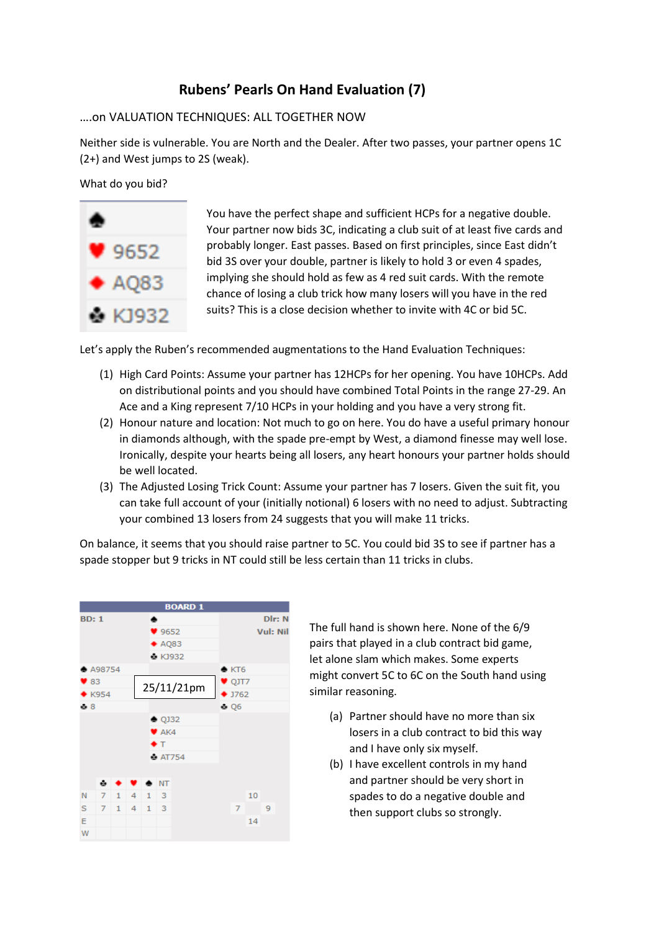## **Rubens' Pearls On Hand Evaluation (7)**

## ….on VALUATION TECHNIQUES: ALL TOGETHER NOW

Neither side is vulnerable. You are North and the Dealer. After two passes, your partner opens 1C (2+) and West jumps to 2S (weak).

What do you bid?



You have the perfect shape and sufficient HCPs for a negative double. Your partner now bids 3C, indicating a club suit of at least five cards and probably longer. East passes. Based on first principles, since East didn't bid 3S over your double, partner is likely to hold 3 or even 4 spades, implying she should hold as few as 4 red suit cards. With the remote chance of losing a club trick how many losers will you have in the red suits? This is a close decision whether to invite with 4C or bid 5C.

Let's apply the Ruben's recommended augmentations to the Hand Evaluation Techniques:

- (1) High Card Points: Assume your partner has 12HCPs for her opening. You have 10HCPs. Add on distributional points and you should have combined Total Points in the range 27-29. An Ace and a King represent 7/10 HCPs in your holding and you have a very strong fit.
- (2) Honour nature and location: Not much to go on here. You do have a useful primary honour in diamonds although, with the spade pre-empt by West, a diamond finesse may well lose. Ironically, despite your hearts being all losers, any heart honours your partner holds should be well located.
- (3) The Adjusted Losing Trick Count: Assume your partner has 7 losers. Given the suit fit, you can take full account of your (initially notional) 6 losers with no need to adjust. Subtracting your combined 13 losers from 24 suggests that you will make 11 tricks.

On balance, it seems that you should raise partner to 5C. You could bid 3S to see if partner has a spade stopper but 9 tricks in NT could still be less certain than 11 tricks in clubs.



The full hand is shown here. None of the 6/9 pairs that played in a club contract bid game, let alone slam which makes. Some experts might convert 5C to 6C on the South hand using similar reasoning.

- (a) Partner should have no more than six losers in a club contract to bid this way and I have only six myself.
- (b) I have excellent controls in my hand and partner should be very short in spades to do a negative double and then support clubs so strongly.